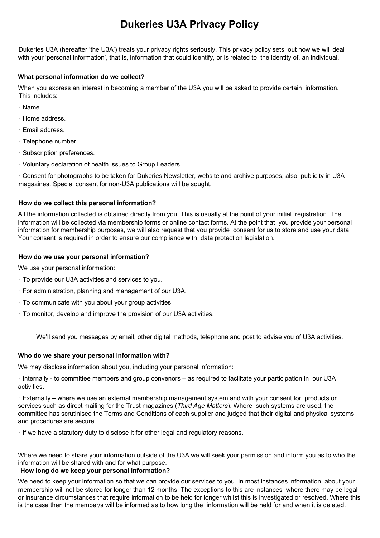# **Dukeries U3A Privacy Policy**

Dukeries U3A (hereafter 'the U3A') treats your privacy rights seriously. This privacy policy sets out how we will deal with your 'personal information', that is, information that could identify, or is related to the identity of, an individual.

## **What personal information do we collect?**

When you express an interest in becoming a member of the U3A you will be asked to provide certain information. This includes:

- · Name.
- · Home address.
- · Email address.
- · Telephone number.
- · Subscription preferences.
- · Voluntary declaration of health issues to Group Leaders.

· Consent for photographs to be taken for Dukeries Newsletter, website and archive purposes; also publicity in U3A magazines. Special consent for non-U3A publications will be sought.

## **How do we collect this personal information?**

All the information collected is obtained directly from you. This is usually at the point of your initial registration. The information will be collected via membership forms or online contact forms. At the point that you provide your personal information for membership purposes, we will also request that you provide consent for us to store and use your data. Your consent is required in order to ensure our compliance with data protection legislation.

## **How do we use your personal information?**

We use your personal information:

- · To provide our U3A activities and services to you.
- · For administration, planning and management of our U3A.
- · To communicate with you about your group activities.
- · To monitor, develop and improve the provision of our U3A activities.

We'll send you messages by email, other digital methods, telephone and post to advise you of U3A activities.

# **Who do we share your personal information with?**

We may disclose information about you, including your personal information:

· Internally - to committee members and group convenors – as required to facilitate your participation in our U3A activities.

· Externally – where we use an external membership management system and with your consent for products or services such as direct mailing for the Trust magazines (*Third Age Matters*). Where such systems are used, the committee has scrutinised the Terms and Conditions of each supplier and judged that their digital and physical systems and procedures are secure.

· If we have a statutory duty to disclose it for other legal and regulatory reasons.

Where we need to share your information outside of the U3A we will seek your permission and inform you as to who the information will be shared with and for what purpose.

# **How long do we keep your personal information?**

We need to keep your information so that we can provide our services to you. In most instances information about your membership will not be stored for longer than 12 months. The exceptions to this are instances where there may be legal or insurance circumstances that require information to be held for longer whilst this is investigated or resolved. Where this is the case then the member/s will be informed as to how long the information will be held for and when it is deleted.